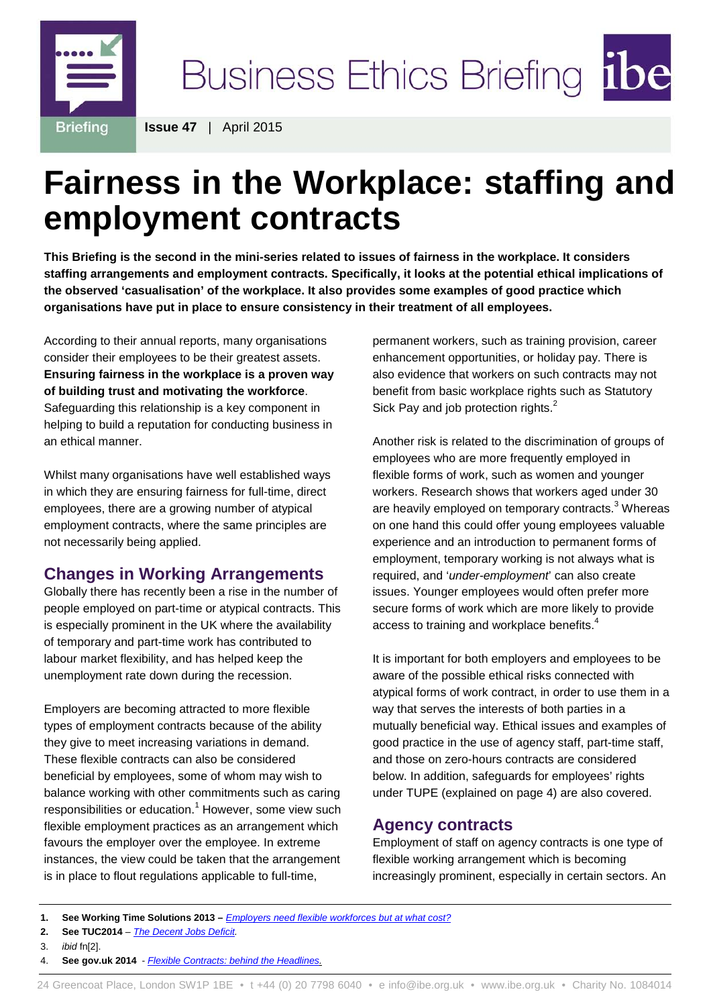

Business Ethics Briefing ibe

**Issue 47** | April 2015

# **Fairness in the Workplace: staffing and employment contracts**

**This Briefing is the second in the mini-series related to issues of fairness in the workplace. It considers staffing arrangements and employment contracts. Specifically, it looks at the potential ethical implications of the observed 'casualisation' of the workplace. It also provides some examples of good practice which organisations have put in place to ensure consistency in their treatment of all employees.**

According to their annual reports, many organisations consider their employees to be their greatest assets. **Ensuring fairness in the workplace is a proven way of building trust and motivating the workforce**. Safeguarding this relationship is a key component in helping to build a reputation for conducting business in an ethical manner.

Whilst many organisations have well established ways in which they are ensuring fairness for full-time, direct employees, there are a growing number of atypical employment contracts, where the same principles are not necessarily being applied.

# **Changes in Working Arrangements**

Globally there has recently been a rise in the number of people employed on part-time or atypical contracts. This is especially prominent in the UK where the availability of temporary and part-time work has contributed to labour market flexibility, and has helped keep the unemployment rate down during the recession.

Employers are becoming attracted to more flexible types of employment contracts because of the ability they give to meet increasing variations in demand. These flexible contracts can also be considered beneficial by employees, some of whom may wish to balance working with other commitments such as caring responsibilities or education.<sup>1</sup> However, some view such flexible employment practices as an arrangement which favours the employer over the employee. In extreme instances, the view could be taken that the arrangement is in place to flout regulations applicable to full-time,

permanent workers, such as training provision, career enhancement opportunities, or holiday pay. There is also evidence that workers on such contracts may not benefit from basic workplace rights such as Statutory Sick Pay and job protection rights.<sup>2</sup>

Another risk is related to the discrimination of groups of employees who are more frequently employed in flexible forms of work, such as women and younger workers. Research shows that workers aged under 30 are heavily employed on temporary contracts.<sup>3</sup> Whereas on one hand this could offer young employees valuable experience and an introduction to permanent forms of employment, temporary working is not always what is required, and '*under-employment*' can also create issues. Younger employees would often prefer more secure forms of work which are more likely to provide access to training and workplace benefits.<sup>4</sup>

It is important for both employers and employees to be aware of the possible ethical risks connected with atypical forms of work contract, in order to use them in a way that serves the interests of both parties in a mutually beneficial way. Ethical issues and examples of good practice in the use of agency staff, part-time staff, and those on zero-hours contracts are considered below. In addition, safeguards for employees' rights under TUPE (explained on page 4) are also covered.

## **Agency contracts**

Employment of staff on agency contracts is one type of flexible working arrangement which is becoming increasingly prominent, especially in certain sectors. An

- **2. See TUC2014**  *[The Decent Jobs Deficit.](https://www.tuc.org.uk/sites/default/files/DecentJobsDeficitReport_0.pdf)*
- 3. *ibid* fn[2].
- 4. **See gov.uk 2014**  *[Flexible Contracts: behind the Headlines.](https://www.gov.uk/government/uploads/system/uploads/attachment_data/file/302989/flexible-contracts-final.pdf)*

**<sup>1.</sup> See Working Time Solutions 2013 –** *[Employers need flexible workforces but at what cost?](http://workingtime-solutions.com/employers-need-flexible-workforces-cost/)*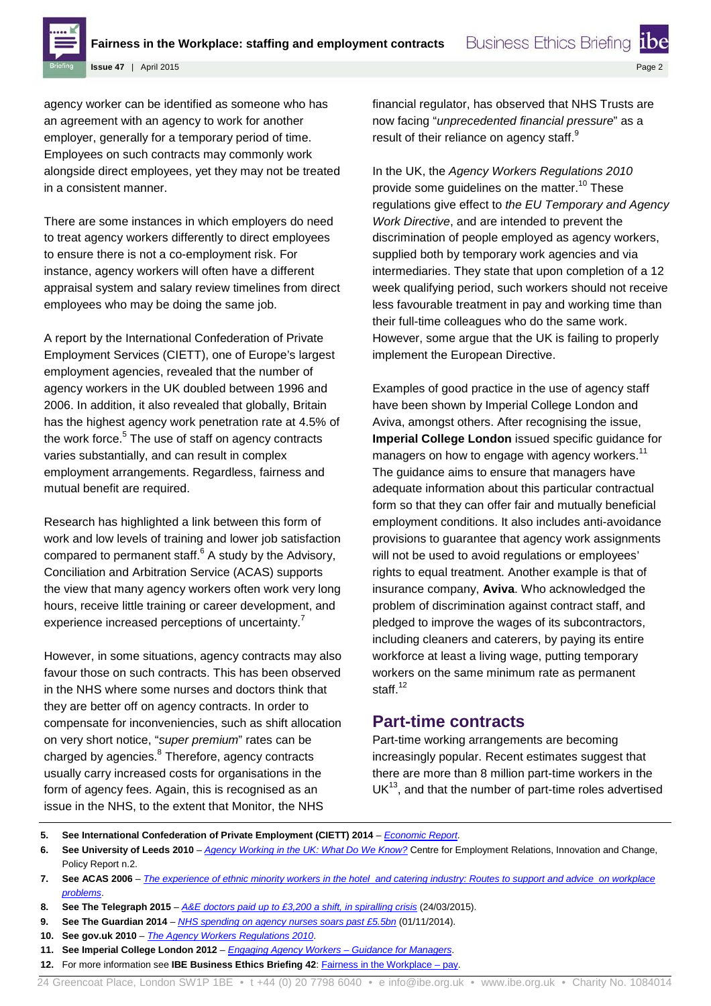

**Issue 47** | April 2015

agency worker can be identified as someone who has an agreement with an agency to work for another employer, generally for a temporary period of time. Employees on such contracts may commonly work alongside direct employees, yet they may not be treated in a consistent manner.

There are some instances in which employers do need to treat agency workers differently to direct employees to ensure there is not a co-employment risk. For instance, agency workers will often have a different appraisal system and salary review timelines from direct employees who may be doing the same job.

A report by the International Confederation of Private Employment Services (CIETT), one of Europe's largest employment agencies, revealed that the number of agency workers in the UK doubled between 1996 and 2006. In addition, it also revealed that globally, Britain has the highest agency work penetration rate at 4.5% of the work force. $5$  The use of staff on agency contracts varies substantially, and can result in complex employment arrangements. Regardless, fairness and mutual benefit are required.

Research has highlighted a link between this form of work and low levels of training and lower job satisfaction compared to permanent staff. $6$  A study by the Advisory, Conciliation and Arbitration Service (ACAS) supports the view that many agency workers often work very long hours, receive little training or career development, and experience increased perceptions of uncertainty.<sup>7</sup>

However, in some situations, agency contracts may also favour those on such contracts. This has been observed in the NHS where some nurses and doctors think that they are better off on agency contracts. In order to compensate for inconveniencies, such as shift allocation on very short notice, "*super premium*" rates can be charged by agencies.<sup>8</sup> Therefore, agency contracts usually carry increased costs for organisations in the form of agency fees. Again, this is recognised as an issue in the NHS, to the extent that Monitor, the NHS

financial regulator, has observed that NHS Trusts are now facing "*unprecedented financial pressure*" as a result of their reliance on agency staff.<sup>9</sup>

**Business Ethics Briefing** 

In the UK, the *Agency Workers Regulations 2010* provide some guidelines on the matter.<sup>10</sup> These regulations give effect to *the EU Temporary and Agency Work Directive*, and are intended to prevent the discrimination of people employed as agency workers, supplied both by temporary work agencies and via intermediaries. They state that upon completion of a 12 week qualifying period, such workers should not receive less favourable treatment in pay and working time than their full-time colleagues who do the same work. However, some argue that the UK is failing to properly implement the European Directive.

Examples of good practice in the use of agency staff have been shown by Imperial College London and Aviva, amongst others. After recognising the issue, **Imperial College London** issued specific guidance for managers on how to engage with agency workers.<sup>11</sup> The guidance aims to ensure that managers have adequate information about this particular contractual form so that they can offer fair and mutually beneficial employment conditions. It also includes anti-avoidance provisions to guarantee that agency work assignments will not be used to avoid regulations or employees' rights to equal treatment. Another example is that of insurance company, **Aviva**. Who acknowledged the problem of discrimination against contract staff, and pledged to improve the wages of its subcontractors, including cleaners and caterers, by paying its entire workforce at least a living wage, putting temporary workers on the same minimum rate as permanent staff $12$ 

### **Part-time contracts**

Part-time working arrangements are becoming increasingly popular. Recent estimates suggest that there are more than 8 million part-time workers in the  $UK<sup>13</sup>$ , and that the number of part-time roles advertised

**<sup>5.</sup> See International Confederation of Private Employment (CIETT) 2014** – *[Economic Report](http://www.ciett.org/fileadmin/templates/ciett/docs/Stats/Economic_report_2014/CIETT_ER2013.pdf)*.

**<sup>6.</sup> See University of Leeds 2010** – *[Agency Working in the UK: What Do We Know?](http://lubswww.leeds.ac.uk/fileadmin/user_upload/NEWS/ceric_agency_workers_report_01.pdf)* Centre for Employment Relations, Innovation and Change, Policy Report n.2.

**<sup>7.</sup> See ACAS 2006** – *[The experience of ethnic minority workers in the hotel and catering industry: Routes to support and advice on workplace](http://www.acas.org.uk/media/pdf/0/b/03-06_1.pdf)  [problems](http://www.acas.org.uk/media/pdf/0/b/03-06_1.pdf)*.

**<sup>8.</sup> See The Telegraph 2015** – *[A&E doctors paid up to £3,200 a shift, in spiralling crisis](http://www.telegraph.co.uk/news/nhs/11490776/AandE-doctors-paid-up-to-3200-a-shift-in-spiralling-crisis.html)* (24/03/2015).

**<sup>9.</sup> See The Guardian 2014** – *[NHS spending on agency nurses soars past £5.5bn](http://www.theguardian.com/society/2014/nov/01/nhs-spending-agency-nurses-cuts)* (01/11/2014).

**<sup>10.</sup> See gov.uk 2010** – *[The Agency Workers Regulations 2010](http://www.legislation.gov.uk/uksi/2010/93/pdfs/uksi_20100093_en.pdf)*.

**<sup>11.</sup> See Imperial College London 2012** – *[Engaging Agency Workers –](https://workspace.imperial.ac.uk/hr/Public/Procedures/Agency%20Workers/agency_guidance.pdf) Guidance for Managers*.

**<sup>12.</sup>** For more information see **IBE Business Ethics Briefing 42**: **Fairness in the Workplace – pay.**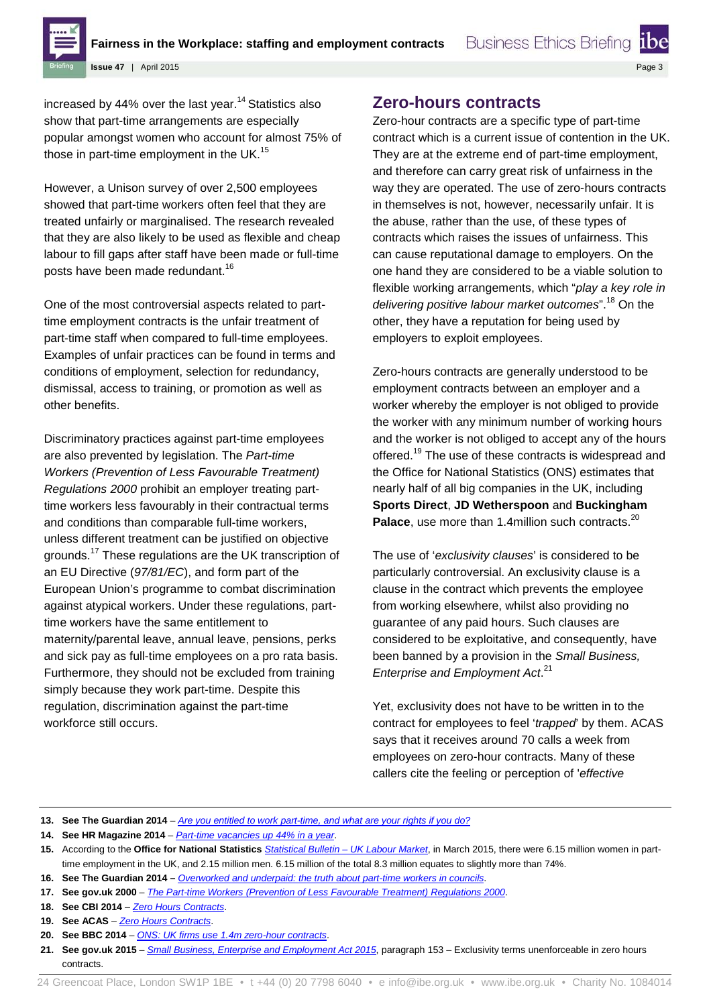

**Issue 47** | April 2015

increased by 44% over the last year.<sup>14</sup> Statistics also show that part-time arrangements are especially popular amongst women who account for almost 75% of those in part-time employment in the UK.<sup>15</sup>

However, a Unison survey of over 2,500 employees showed that part-time workers often feel that they are treated unfairly or marginalised. The research revealed that they are also likely to be used as flexible and cheap labour to fill gaps after staff have been made or full-time posts have been made redundant.<sup>16</sup>

One of the most controversial aspects related to parttime employment contracts is the unfair treatment of part-time staff when compared to full-time employees. Examples of unfair practices can be found in terms and conditions of employment, selection for redundancy, dismissal, access to training, or promotion as well as other benefits.

Discriminatory practices against part-time employees are also prevented by legislation. The *Part-time Workers (Prevention of Less Favourable Treatment) Regulations 2000* prohibit an employer treating parttime workers less favourably in their contractual terms and conditions than comparable full-time workers, unless different treatment can be justified on objective grounds.<sup>17</sup> These regulations are the UK transcription of an EU Directive (*97/81/EC*), and form part of the European Union's programme to combat discrimination against atypical workers. Under these regulations, parttime workers have the same entitlement to maternity/parental leave, annual leave, pensions, perks and sick pay as full-time employees on a pro rata basis. Furthermore, they should not be excluded from training simply because they work part-time. Despite this regulation, discrimination against the part-time workforce still occurs.

# **Zero-hours contracts**

Zero-hour contracts are a specific type of part-time contract which is a current issue of contention in the UK. They are at the extreme end of part-time employment, and therefore can carry great risk of unfairness in the way they are operated. The use of zero-hours contracts in themselves is not, however, necessarily unfair. It is the abuse, rather than the use, of these types of contracts which raises the issues of unfairness. This can cause reputational damage to employers. On the one hand they are considered to be a viable solution to flexible working arrangements, which "*play a key role in delivering positive labour market outcomes*".<sup>18</sup> On the other, they have a reputation for being used by employers to exploit employees.

Zero-hours contracts are generally understood to be employment contracts between an employer and a worker whereby the employer is not obliged to provide the worker with any minimum number of working hours and the worker is not obliged to accept any of the hours offered.<sup>19</sup> The use of these contracts is widespread and the Office for National Statistics (ONS) estimates that nearly half of all big companies in the UK, including **Sports Direct**, **JD Wetherspoon** and **Buckingham**  Palace, use more than 1.4million such contracts.<sup>20</sup>

The use of '*exclusivity clauses*' is considered to be particularly controversial. An exclusivity clause is a clause in the contract which prevents the employee from working elsewhere, whilst also providing no guarantee of any paid hours. Such clauses are considered to be exploitative, and consequently, have been banned by a provision in the *Small Business, Enterprise and Employment Act*. 21

Yet, exclusivity does not have to be written in to the contract for employees to feel '*trapped*' by them. ACAS says that it receives around 70 calls a week from employees on zero-hour contracts. Many of these callers cite the feeling or perception of '*effective* 

- **16. See The Guardian 2014 –** *[Overworked and underpaid: the truth about part-time workers in councils](http://www.theguardian.com/local-government-network/2014/jun/24/overworked-and-underpaid-truth-part-time-workers-local-government)*.
- **17. See gov.uk 2000** *[The Part-time Workers \(Prevention of Less Favourable Treatment\) Regulations 2000](http://www.legislation.gov.uk/uksi/2000/1551/pdfs/uksi_20001551_en.pdf)*.

**<sup>13.</sup> See The Guardian 2014** – *[Are you entitled to work part-time, and what are your rights if you do?](http://www.theguardian.com/money/blog/2013/oct/30/entitled-to-work-part-time-rights-child-flexible)*

**<sup>14.</sup> See HR Magazine 2014** – *[Part-time vacancies up 44% in a year](http://www.hrmagazine.co.uk/hro/news/1145954/-vacancies-44)*.

**<sup>15.</sup>** According to the **Office for National Statistics** *[Statistical Bulletin –](http://www.ons.gov.uk/ons/dcp171778_396467.pdf) UK Labour Market*, in March 2015, there were 6.15 million women in parttime employment in the UK, and 2.15 million men. 6.15 million of the total 8.3 million equates to slightly more than 74%.

**<sup>18.</sup> See CBI 2014** – *[Zero Hours Contracts](http://www.cbi.org.uk/media/2628041/zero_hours_contracts.pdf)*.

**<sup>19.</sup> See ACAS** – *[Zero Hours Contracts](http://www.acas.org.uk/index.aspx?articleid=4468)*.

**<sup>20.</sup> See BBC 2014** – *[ONS: UK firms use 1.4m zero-hour contracts](http://www.bbc.co.uk/news/business-27219654)*.

**<sup>21.</sup> See gov.uk 2015** – *[Small Business, Enterprise and Employment Act 2015](http://www.legislation.gov.uk/ukpga/2015/26/pdfs/ukpga_20150026_en.pdf)*, paragraph 153 – Exclusivity terms unenforceable in zero hours contracts.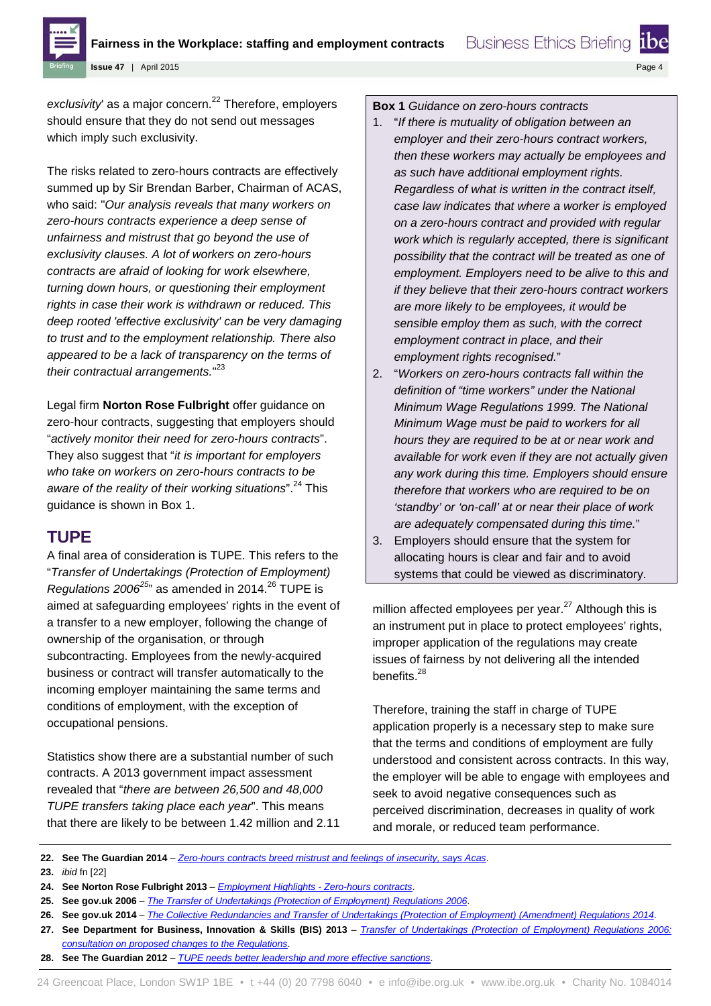

Page 4

**Issue 47** | April 2015

exclusivity' as a major concern.<sup>22</sup> Therefore, employers should ensure that they do not send out messages which imply such exclusivity.

The risks related to zero-hours contracts are effectively summed up by Sir Brendan Barber, Chairman of ACAS, who said: "*Our analysis reveals that many workers on zero-hours contracts experience a deep sense of unfairness and mistrust that go beyond the use of exclusivity clauses. A lot of workers on zero-hours contracts are afraid of looking for work elsewhere, turning down hours, or questioning their employment rights in case their work is withdrawn or reduced. This deep rooted 'effective exclusivity' can be very damaging to trust and to the employment relationship. There also appeared to be a lack of transparency on the terms of their contractual arrangements.*" 23

Legal firm **Norton Rose Fulbright** offer guidance on zero-hour contracts, suggesting that employers should "*actively monitor their need for zero-hours contracts*". They also suggest that "*it is important for employers who take on workers on zero-hours contracts to be aware of the reality of their working situations*".<sup>24</sup> This guidance is shown in Box 1.

## **TUPE**

A final area of consideration is TUPE. This refers to the "*Transfer of Undertakings (Protection of Employment) Regulations 2006<sup>25</sup>* as amended in 2014.<sup>26</sup> TUPE is aimed at safeguarding employees' rights in the event of a transfer to a new employer, following the change of ownership of the organisation, or through subcontracting. Employees from the newly-acquired business or contract will transfer automatically to the incoming employer maintaining the same terms and conditions of employment, with the exception of occupational pensions.

Statistics show there are a substantial number of such contracts. A 2013 government impact assessment revealed that "*there are between 26,500 and 48,000 TUPE transfers taking place each year*". This means that there are likely to be between 1.42 million and 2.11

### **Box 1** *Guidance on zero-hours contracts*

- 1. "*If there is mutuality of obligation between an employer and their zero-hours contract workers, then these workers may actually be employees and as such have additional employment rights. Regardless of what is written in the contract itself, case law indicates that where a worker is employed on a zero-hours contract and provided with regular work which is regularly accepted, there is significant possibility that the contract will be treated as one of employment. Employers need to be alive to this and if they believe that their zero-hours contract workers are more likely to be employees, it would be sensible employ them as such, with the correct employment contract in place, and their employment rights recognised.*"
- 2. "*Workers on zero-hours contracts fall within the definition of "time workers" under the National Minimum Wage Regulations 1999. The National Minimum Wage must be paid to workers for all hours they are required to be at or near work and available for work even if they are not actually given any work during this time. Employers should ensure therefore that workers who are required to be on 'standby' or 'on-call' at or near their place of work are adequately compensated during this time.*"
- 3. Employers should ensure that the system for allocating hours is clear and fair and to avoid systems that could be viewed as discriminatory.

million affected employees per year. $27$  Although this is an instrument put in place to protect employees' rights, improper application of the regulations may create issues of fairness by not delivering all the intended benefits.<sup>28</sup>

Therefore, training the staff in charge of TUPE application properly is a necessary step to make sure that the terms and conditions of employment are fully understood and consistent across contracts. In this way, the employer will be able to engage with employees and seek to avoid negative consequences such as perceived discrimination, decreases in quality of work and morale, or reduced team performance.

**22. See The Guardian 2014** – *[Zero-hours contracts breed mistrust and feelings of insecurity, says Acas](http://www.theguardian.com/uk-news/2014/may/12/zero-hours-contracts-mistrust-insecurity-acas)*.

**23.** *ibid* fn [22]

- **24. See Norton Rose Fulbright 2013**  *[Employment Highlights -](http://www.nortonrosefulbright.com/knowledge/publications/105473/employment-highlights-zero-hours-contracts#section6) Zero-hours contracts*.
- **25. See gov.uk 2006** *[The Transfer of Undertakings \(Protection of Employment\)](http://www.legislation.gov.uk/uksi/2006/246/pdfs/uksi_20060246_en.pdf) Regulations 2006*.
- **26. See gov.uk 2014**  *[The Collective Redundancies and Transfer of Undertakings \(Protection of Employment\)](http://www.legislation.gov.uk/uksi/2014/16/pdfs/uksi_20140016_en.pdf) (Amendment) Regulations 2014*.
- **27. See Department for Business, Innovation & Skills (BIS) 2013**  *[Transfer of Undertakings \(Protection of Employment\) Regulations 2006:](https://www.gov.uk/government/uploads/system/uploads/attachment_data/file/236932/bis-13-1023-transfer-of-undertakings-protection-of-employment-regulations-2006-government-response-to-consultation.pdf)  [consultation on proposed changes to the Regulations](https://www.gov.uk/government/uploads/system/uploads/attachment_data/file/236932/bis-13-1023-transfer-of-undertakings-protection-of-employment-regulations-2006-government-response-to-consultation.pdf)*.
- **28. See The Guardian 2012**  *[TUPE needs better leadership and more effective sanctions](http://www.theguardian.com/voluntary-sector-network/2012/jan/16/tupe-better-leadership-effective-sanctions)*.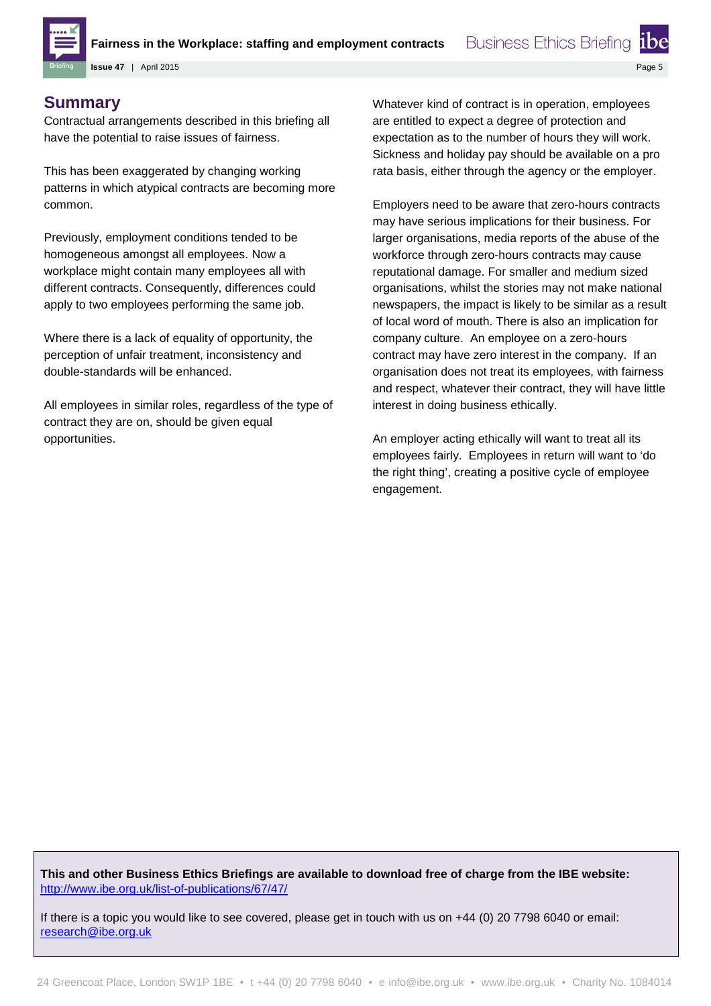

**Fairness in the Workplace: staffing and employment contracts**

Page 5

**Issue 47** | April 2015

## **Summary**

Contractual arrangements described in this briefing all have the potential to raise issues of fairness.

This has been exaggerated by changing working patterns in which atypical contracts are becoming more common.

Previously, employment conditions tended to be homogeneous amongst all employees. Now a workplace might contain many employees all with different contracts. Consequently, differences could apply to two employees performing the same job.

Where there is a lack of equality of opportunity, the perception of unfair treatment, inconsistency and double-standards will be enhanced.

All employees in similar roles, regardless of the type of contract they are on, should be given equal opportunities.

Whatever kind of contract is in operation, employees are entitled to expect a degree of protection and expectation as to the number of hours they will work. Sickness and holiday pay should be available on a pro rata basis, either through the agency or the employer.

**Business Ethics Briefing** 

Employers need to be aware that zero-hours contracts may have serious implications for their business. For larger organisations, media reports of the abuse of the workforce through zero-hours contracts may cause reputational damage. For smaller and medium sized organisations, whilst the stories may not make national newspapers, the impact is likely to be similar as a result of local word of mouth. There is also an implication for company culture. An employee on a zero-hours contract may have zero interest in the company. If an organisation does not treat its employees, with fairness and respect, whatever their contract, they will have little interest in doing business ethically.

An employer acting ethically will want to treat all its employees fairly. Employees in return will want to 'do the right thing', creating a positive cycle of employee engagement.

**This and other Business Ethics Briefings are available to download free of charge from the IBE website:** <http://www.ibe.org.uk/list-of-publications/67/47/>

If there is a topic you would like to see covered, please get in touch with us on +44 (0) 20 7798 6040 or email: [research@ibe.org.uk](mailto:d.johnson@ibe.org.uk?subject=IBE%20Briefings)